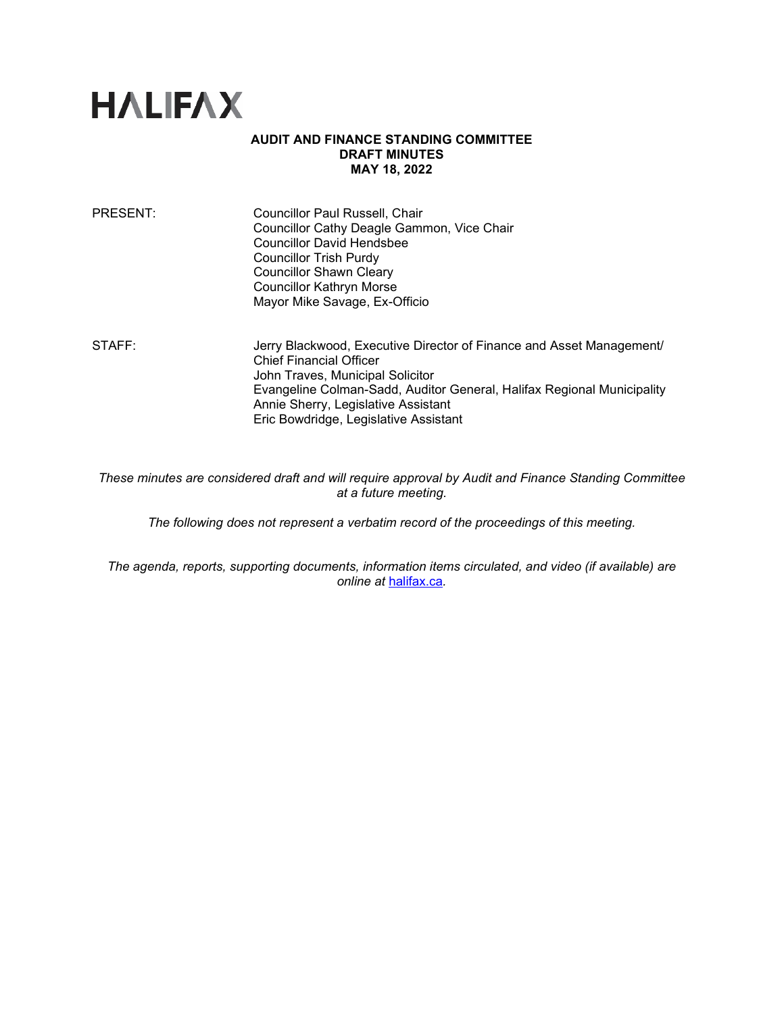

## **AUDIT AND FINANCE STANDING COMMITTEE DRAFT MINUTES MAY 18, 2022**

| PRESENT: | Councillor Paul Russell, Chair<br>Councillor Cathy Deagle Gammon, Vice Chair<br><b>Councillor David Hendsbee</b><br>Councillor Trish Purdy<br><b>Councillor Shawn Cleary</b><br><b>Councillor Kathryn Morse</b><br>Mayor Mike Savage, Ex-Officio |
|----------|--------------------------------------------------------------------------------------------------------------------------------------------------------------------------------------------------------------------------------------------------|
| STAFF:   | Jerry Blackwood, Executive Director of Finance and Asset Management/                                                                                                                                                                             |

Chief Financial Officer John Traves, Municipal Solicitor Evangeline Colman-Sadd, Auditor General, Halifax Regional Municipality Annie Sherry, Legislative Assistant Eric Bowdridge, Legislative Assistant

*These minutes are considered draft and will require approval by Audit and Finance Standing Committee at a future meeting.*

*The following does not represent a verbatim record of the proceedings of this meeting.*

*The agenda, reports, supporting documents, information items circulated, and video (if available) are online at* [halifax.ca](http://www.halifax.ca/)*.*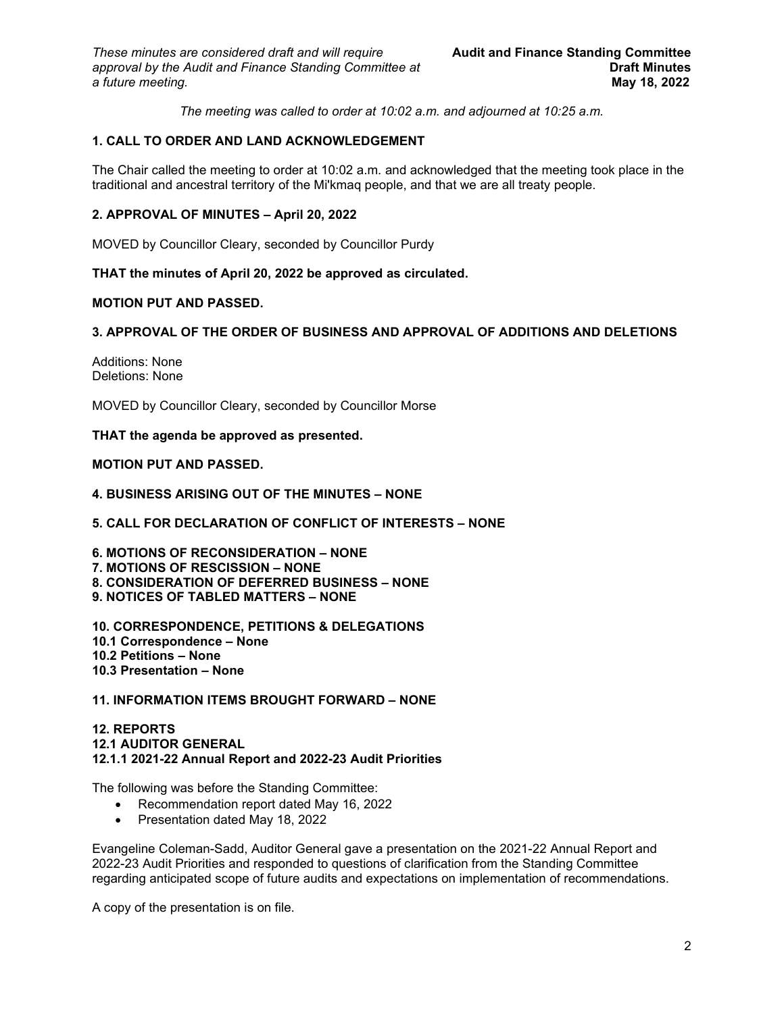*The meeting was called to order at 10:02 a.m. and adjourned at 10:25 a.m.*

# **1. CALL TO ORDER AND LAND ACKNOWLEDGEMENT**

The Chair called the meeting to order at 10:02 a.m. and acknowledged that the meeting took place in the traditional and ancestral territory of the Mi'kmaq people, and that we are all treaty people.

## **2. APPROVAL OF MINUTES – April 20, 2022**

MOVED by Councillor Cleary, seconded by Councillor Purdy

### **THAT the minutes of April 20, 2022 be approved as circulated.**

## **MOTION PUT AND PASSED.**

### **3. APPROVAL OF THE ORDER OF BUSINESS AND APPROVAL OF ADDITIONS AND DELETIONS**

Additions: None Deletions: None

MOVED by Councillor Cleary, seconded by Councillor Morse

#### **THAT the agenda be approved as presented.**

#### **MOTION PUT AND PASSED.**

### **4. BUSINESS ARISING OUT OF THE MINUTES – NONE**

### **5. CALL FOR DECLARATION OF CONFLICT OF INTERESTS – NONE**

**6. MOTIONS OF RECONSIDERATION – NONE 7. MOTIONS OF RESCISSION – NONE 8. CONSIDERATION OF DEFERRED BUSINESS – NONE 9. NOTICES OF TABLED MATTERS – NONE**

**10. CORRESPONDENCE, PETITIONS & DELEGATIONS 10.1 Correspondence – None 10.2 Petitions – None 10.3 Presentation – None** 

### **11. INFORMATION ITEMS BROUGHT FORWARD – NONE**

## **12. REPORTS 12.1 AUDITOR GENERAL 12.1.1 2021-22 Annual Report and 2022-23 Audit Priorities**

The following was before the Standing Committee:

- Recommendation report dated May 16, 2022
- Presentation dated May 18, 2022

Evangeline Coleman-Sadd, Auditor General gave a presentation on the 2021-22 Annual Report and 2022-23 Audit Priorities and responded to questions of clarification from the Standing Committee regarding anticipated scope of future audits and expectations on implementation of recommendations.

A copy of the presentation is on file.